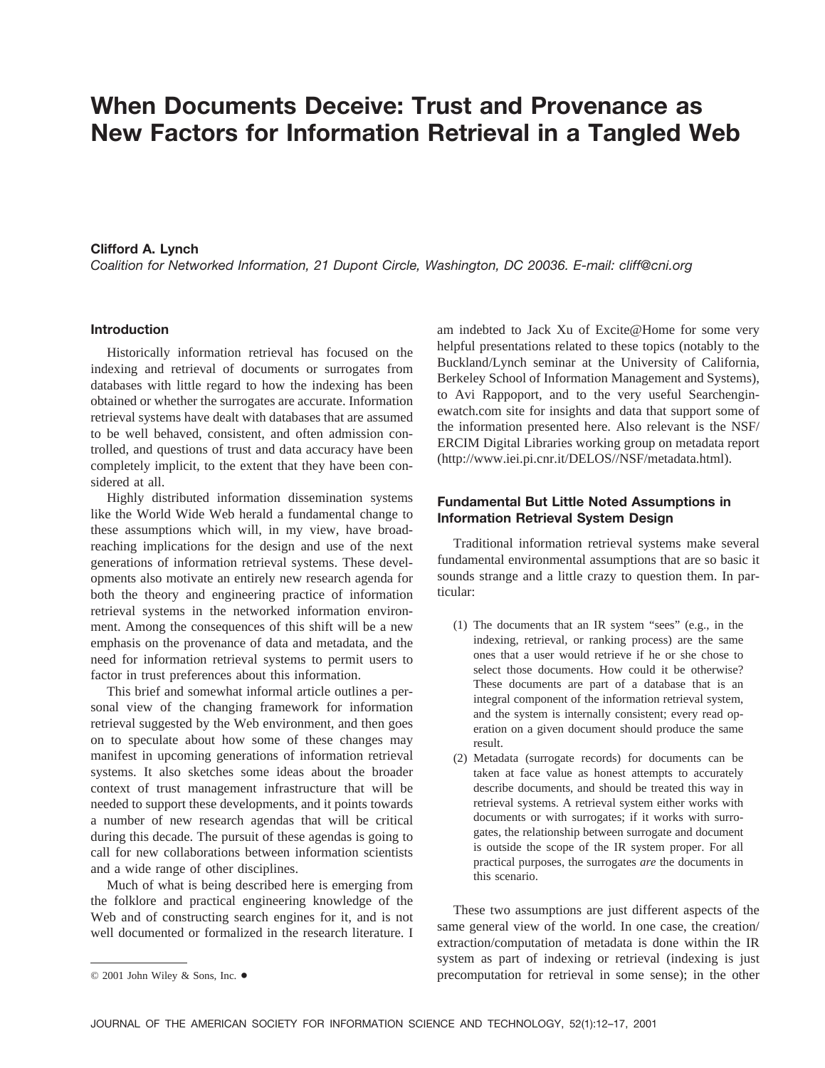# **When Documents Deceive: Trust and Provenance as New Factors for Information Retrieval in a Tangled Web**

#### **Clifford A. Lynch**

*Coalition for Networked Information, 21 Dupont Circle, Washington, DC 20036. E-mail: cliff@cni.org*

#### **Introduction**

Historically information retrieval has focused on the indexing and retrieval of documents or surrogates from databases with little regard to how the indexing has been obtained or whether the surrogates are accurate. Information retrieval systems have dealt with databases that are assumed to be well behaved, consistent, and often admission controlled, and questions of trust and data accuracy have been completely implicit, to the extent that they have been considered at all.

Highly distributed information dissemination systems like the World Wide Web herald a fundamental change to these assumptions which will, in my view, have broadreaching implications for the design and use of the next generations of information retrieval systems. These developments also motivate an entirely new research agenda for both the theory and engineering practice of information retrieval systems in the networked information environment. Among the consequences of this shift will be a new emphasis on the provenance of data and metadata, and the need for information retrieval systems to permit users to factor in trust preferences about this information.

This brief and somewhat informal article outlines a personal view of the changing framework for information retrieval suggested by the Web environment, and then goes on to speculate about how some of these changes may manifest in upcoming generations of information retrieval systems. It also sketches some ideas about the broader context of trust management infrastructure that will be needed to support these developments, and it points towards a number of new research agendas that will be critical during this decade. The pursuit of these agendas is going to call for new collaborations between information scientists and a wide range of other disciplines.

Much of what is being described here is emerging from the folklore and practical engineering knowledge of the Web and of constructing search engines for it, and is not well documented or formalized in the research literature. I

# **Fundamental But Little Noted Assumptions in Information Retrieval System Design**

Traditional information retrieval systems make several fundamental environmental assumptions that are so basic it sounds strange and a little crazy to question them. In particular:

- (1) The documents that an IR system "sees" (e.g., in the indexing, retrieval, or ranking process) are the same ones that a user would retrieve if he or she chose to select those documents. How could it be otherwise? These documents are part of a database that is an integral component of the information retrieval system, and the system is internally consistent; every read operation on a given document should produce the same result.
- (2) Metadata (surrogate records) for documents can be taken at face value as honest attempts to accurately describe documents, and should be treated this way in retrieval systems. A retrieval system either works with documents or with surrogates; if it works with surrogates, the relationship between surrogate and document is outside the scope of the IR system proper. For all practical purposes, the surrogates *are* the documents in this scenario.

These two assumptions are just different aspects of the same general view of the world. In one case, the creation/ extraction/computation of metadata is done within the IR system as part of indexing or retrieval (indexing is just © 2001 John Wiley & Sons, Inc. ● precomputation for retrieval in some sense); in the other

am indebted to Jack Xu of Excite@Home for some very helpful presentations related to these topics (notably to the Buckland/Lynch seminar at the University of California, Berkeley School of Information Management and Systems), to Avi Rappoport, and to the very useful Searchenginewatch.com site for insights and data that support some of the information presented here. Also relevant is the NSF/ ERCIM Digital Libraries working group on metadata report (http://www.iei.pi.cnr.it/DELOS//NSF/metadata.html).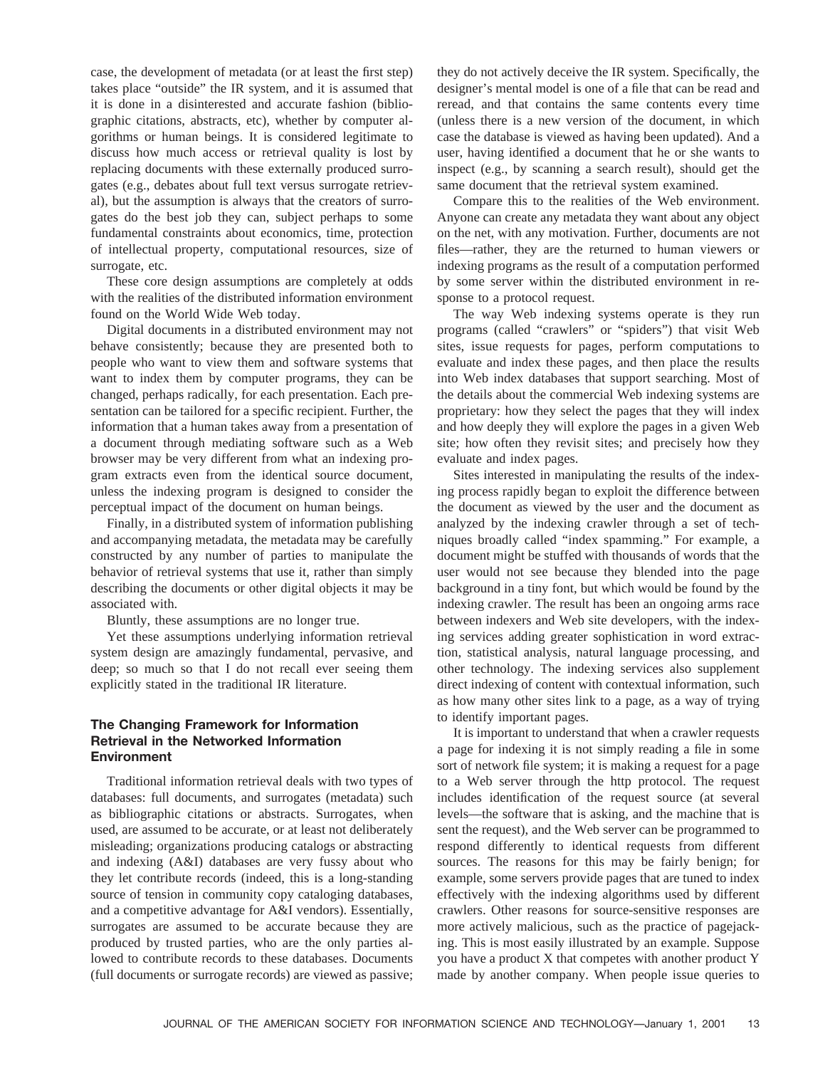case, the development of metadata (or at least the first step) takes place "outside" the IR system, and it is assumed that it is done in a disinterested and accurate fashion (bibliographic citations, abstracts, etc), whether by computer algorithms or human beings. It is considered legitimate to discuss how much access or retrieval quality is lost by replacing documents with these externally produced surrogates (e.g., debates about full text versus surrogate retrieval), but the assumption is always that the creators of surrogates do the best job they can, subject perhaps to some fundamental constraints about economics, time, protection of intellectual property, computational resources, size of surrogate, etc.

These core design assumptions are completely at odds with the realities of the distributed information environment found on the World Wide Web today.

Digital documents in a distributed environment may not behave consistently; because they are presented both to people who want to view them and software systems that want to index them by computer programs, they can be changed, perhaps radically, for each presentation. Each presentation can be tailored for a specific recipient. Further, the information that a human takes away from a presentation of a document through mediating software such as a Web browser may be very different from what an indexing program extracts even from the identical source document, unless the indexing program is designed to consider the perceptual impact of the document on human beings.

Finally, in a distributed system of information publishing and accompanying metadata, the metadata may be carefully constructed by any number of parties to manipulate the behavior of retrieval systems that use it, rather than simply describing the documents or other digital objects it may be associated with.

Bluntly, these assumptions are no longer true.

Yet these assumptions underlying information retrieval system design are amazingly fundamental, pervasive, and deep; so much so that I do not recall ever seeing them explicitly stated in the traditional IR literature.

# **The Changing Framework for Information Retrieval in the Networked Information Environment**

Traditional information retrieval deals with two types of databases: full documents, and surrogates (metadata) such as bibliographic citations or abstracts. Surrogates, when used, are assumed to be accurate, or at least not deliberately misleading; organizations producing catalogs or abstracting and indexing (A&I) databases are very fussy about who they let contribute records (indeed, this is a long-standing source of tension in community copy cataloging databases, and a competitive advantage for A&I vendors). Essentially, surrogates are assumed to be accurate because they are produced by trusted parties, who are the only parties allowed to contribute records to these databases. Documents (full documents or surrogate records) are viewed as passive;

they do not actively deceive the IR system. Specifically, the designer's mental model is one of a file that can be read and reread, and that contains the same contents every time (unless there is a new version of the document, in which case the database is viewed as having been updated). And a user, having identified a document that he or she wants to inspect (e.g., by scanning a search result), should get the same document that the retrieval system examined.

Compare this to the realities of the Web environment. Anyone can create any metadata they want about any object on the net, with any motivation. Further, documents are not files—rather, they are the returned to human viewers or indexing programs as the result of a computation performed by some server within the distributed environment in response to a protocol request.

The way Web indexing systems operate is they run programs (called "crawlers" or "spiders") that visit Web sites, issue requests for pages, perform computations to evaluate and index these pages, and then place the results into Web index databases that support searching. Most of the details about the commercial Web indexing systems are proprietary: how they select the pages that they will index and how deeply they will explore the pages in a given Web site; how often they revisit sites; and precisely how they evaluate and index pages.

Sites interested in manipulating the results of the indexing process rapidly began to exploit the difference between the document as viewed by the user and the document as analyzed by the indexing crawler through a set of techniques broadly called "index spamming." For example, a document might be stuffed with thousands of words that the user would not see because they blended into the page background in a tiny font, but which would be found by the indexing crawler. The result has been an ongoing arms race between indexers and Web site developers, with the indexing services adding greater sophistication in word extraction, statistical analysis, natural language processing, and other technology. The indexing services also supplement direct indexing of content with contextual information, such as how many other sites link to a page, as a way of trying to identify important pages.

It is important to understand that when a crawler requests a page for indexing it is not simply reading a file in some sort of network file system; it is making a request for a page to a Web server through the http protocol. The request includes identification of the request source (at several levels—the software that is asking, and the machine that is sent the request), and the Web server can be programmed to respond differently to identical requests from different sources. The reasons for this may be fairly benign; for example, some servers provide pages that are tuned to index effectively with the indexing algorithms used by different crawlers. Other reasons for source-sensitive responses are more actively malicious, such as the practice of pagejacking. This is most easily illustrated by an example. Suppose you have a product X that competes with another product Y made by another company. When people issue queries to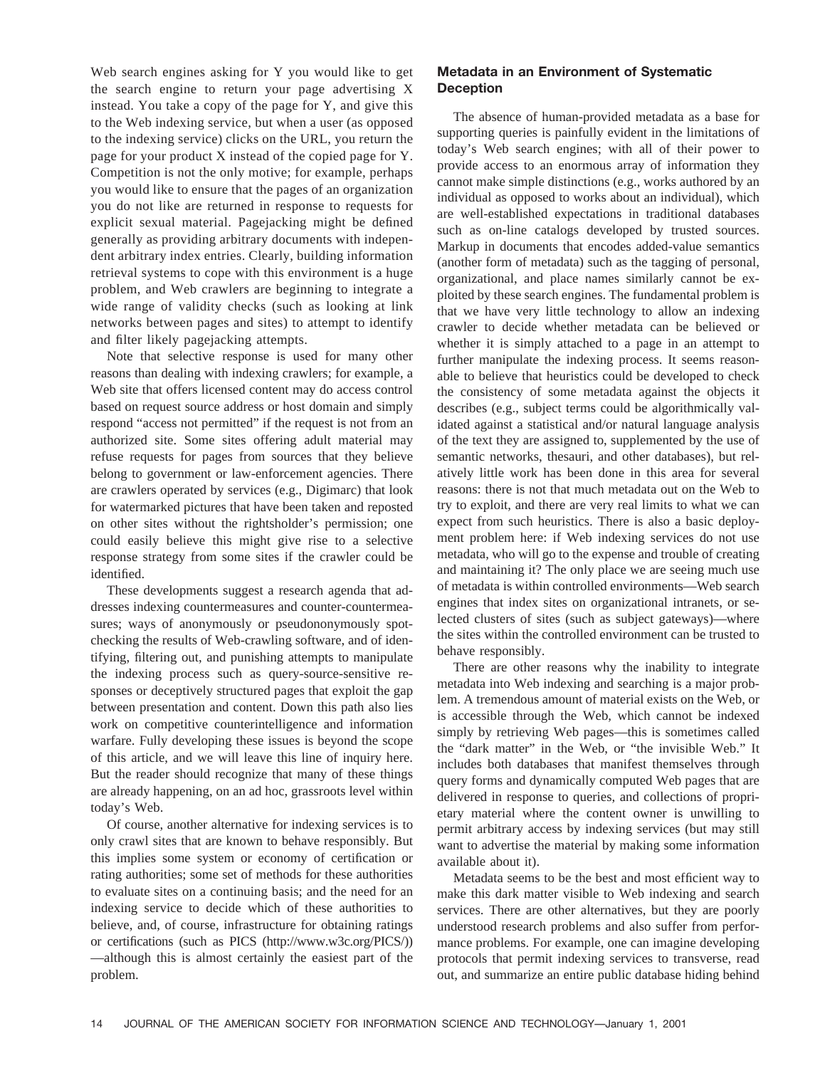Web search engines asking for Y you would like to get the search engine to return your page advertising X instead. You take a copy of the page for Y, and give this to the Web indexing service, but when a user (as opposed to the indexing service) clicks on the URL, you return the page for your product X instead of the copied page for Y. Competition is not the only motive; for example, perhaps you would like to ensure that the pages of an organization you do not like are returned in response to requests for explicit sexual material. Pagejacking might be defined generally as providing arbitrary documents with independent arbitrary index entries. Clearly, building information retrieval systems to cope with this environment is a huge problem, and Web crawlers are beginning to integrate a wide range of validity checks (such as looking at link networks between pages and sites) to attempt to identify and filter likely pagejacking attempts.

Note that selective response is used for many other reasons than dealing with indexing crawlers; for example, a Web site that offers licensed content may do access control based on request source address or host domain and simply respond "access not permitted" if the request is not from an authorized site. Some sites offering adult material may refuse requests for pages from sources that they believe belong to government or law-enforcement agencies. There are crawlers operated by services (e.g., Digimarc) that look for watermarked pictures that have been taken and reposted on other sites without the rightsholder's permission; one could easily believe this might give rise to a selective response strategy from some sites if the crawler could be identified.

These developments suggest a research agenda that addresses indexing countermeasures and counter-countermeasures; ways of anonymously or pseudononymously spotchecking the results of Web-crawling software, and of identifying, filtering out, and punishing attempts to manipulate the indexing process such as query-source-sensitive responses or deceptively structured pages that exploit the gap between presentation and content. Down this path also lies work on competitive counterintelligence and information warfare. Fully developing these issues is beyond the scope of this article, and we will leave this line of inquiry here. But the reader should recognize that many of these things are already happening, on an ad hoc, grassroots level within today's Web.

Of course, another alternative for indexing services is to only crawl sites that are known to behave responsibly. But this implies some system or economy of certification or rating authorities; some set of methods for these authorities to evaluate sites on a continuing basis; and the need for an indexing service to decide which of these authorities to believe, and, of course, infrastructure for obtaining ratings or certifications (such as PICS (http://www.w3c.org/PICS/)) —although this is almost certainly the easiest part of the problem.

## **Metadata in an Environment of Systematic Deception**

The absence of human-provided metadata as a base for supporting queries is painfully evident in the limitations of today's Web search engines; with all of their power to provide access to an enormous array of information they cannot make simple distinctions (e.g., works authored by an individual as opposed to works about an individual), which are well-established expectations in traditional databases such as on-line catalogs developed by trusted sources. Markup in documents that encodes added-value semantics (another form of metadata) such as the tagging of personal, organizational, and place names similarly cannot be exploited by these search engines. The fundamental problem is that we have very little technology to allow an indexing crawler to decide whether metadata can be believed or whether it is simply attached to a page in an attempt to further manipulate the indexing process. It seems reasonable to believe that heuristics could be developed to check the consistency of some metadata against the objects it describes (e.g., subject terms could be algorithmically validated against a statistical and/or natural language analysis of the text they are assigned to, supplemented by the use of semantic networks, thesauri, and other databases), but relatively little work has been done in this area for several reasons: there is not that much metadata out on the Web to try to exploit, and there are very real limits to what we can expect from such heuristics. There is also a basic deployment problem here: if Web indexing services do not use metadata, who will go to the expense and trouble of creating and maintaining it? The only place we are seeing much use of metadata is within controlled environments—Web search engines that index sites on organizational intranets, or selected clusters of sites (such as subject gateways)—where the sites within the controlled environment can be trusted to behave responsibly.

There are other reasons why the inability to integrate metadata into Web indexing and searching is a major problem. A tremendous amount of material exists on the Web, or is accessible through the Web, which cannot be indexed simply by retrieving Web pages—this is sometimes called the "dark matter" in the Web, or "the invisible Web." It includes both databases that manifest themselves through query forms and dynamically computed Web pages that are delivered in response to queries, and collections of proprietary material where the content owner is unwilling to permit arbitrary access by indexing services (but may still want to advertise the material by making some information available about it).

Metadata seems to be the best and most efficient way to make this dark matter visible to Web indexing and search services. There are other alternatives, but they are poorly understood research problems and also suffer from performance problems. For example, one can imagine developing protocols that permit indexing services to transverse, read out, and summarize an entire public database hiding behind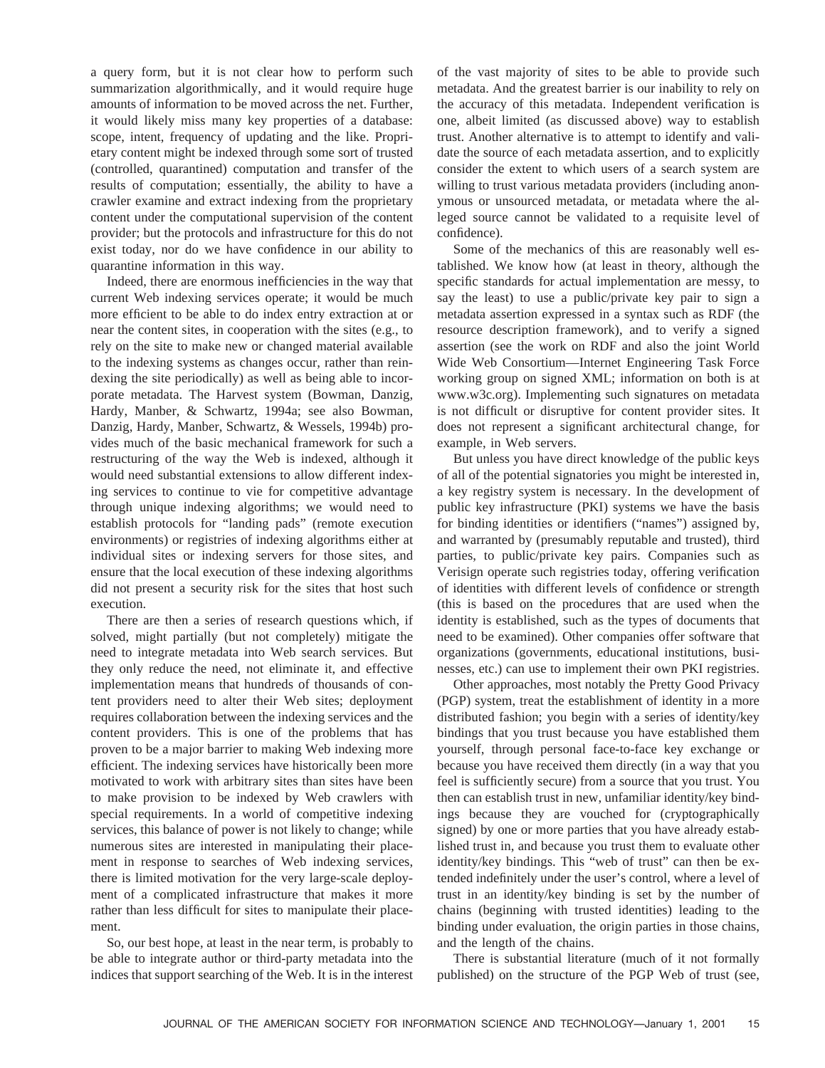a query form, but it is not clear how to perform such summarization algorithmically, and it would require huge amounts of information to be moved across the net. Further, it would likely miss many key properties of a database: scope, intent, frequency of updating and the like. Proprietary content might be indexed through some sort of trusted (controlled, quarantined) computation and transfer of the results of computation; essentially, the ability to have a crawler examine and extract indexing from the proprietary content under the computational supervision of the content provider; but the protocols and infrastructure for this do not exist today, nor do we have confidence in our ability to quarantine information in this way.

Indeed, there are enormous inefficiencies in the way that current Web indexing services operate; it would be much more efficient to be able to do index entry extraction at or near the content sites, in cooperation with the sites (e.g., to rely on the site to make new or changed material available to the indexing systems as changes occur, rather than reindexing the site periodically) as well as being able to incorporate metadata. The Harvest system (Bowman, Danzig, Hardy, Manber, & Schwartz, 1994a; see also Bowman, Danzig, Hardy, Manber, Schwartz, & Wessels, 1994b) provides much of the basic mechanical framework for such a restructuring of the way the Web is indexed, although it would need substantial extensions to allow different indexing services to continue to vie for competitive advantage through unique indexing algorithms; we would need to establish protocols for "landing pads" (remote execution environments) or registries of indexing algorithms either at individual sites or indexing servers for those sites, and ensure that the local execution of these indexing algorithms did not present a security risk for the sites that host such execution.

There are then a series of research questions which, if solved, might partially (but not completely) mitigate the need to integrate metadata into Web search services. But they only reduce the need, not eliminate it, and effective implementation means that hundreds of thousands of content providers need to alter their Web sites; deployment requires collaboration between the indexing services and the content providers. This is one of the problems that has proven to be a major barrier to making Web indexing more efficient. The indexing services have historically been more motivated to work with arbitrary sites than sites have been to make provision to be indexed by Web crawlers with special requirements. In a world of competitive indexing services, this balance of power is not likely to change; while numerous sites are interested in manipulating their placement in response to searches of Web indexing services, there is limited motivation for the very large-scale deployment of a complicated infrastructure that makes it more rather than less difficult for sites to manipulate their placement.

So, our best hope, at least in the near term, is probably to be able to integrate author or third-party metadata into the indices that support searching of the Web. It is in the interest of the vast majority of sites to be able to provide such metadata. And the greatest barrier is our inability to rely on the accuracy of this metadata. Independent verification is one, albeit limited (as discussed above) way to establish trust. Another alternative is to attempt to identify and validate the source of each metadata assertion, and to explicitly consider the extent to which users of a search system are willing to trust various metadata providers (including anonymous or unsourced metadata, or metadata where the alleged source cannot be validated to a requisite level of confidence).

Some of the mechanics of this are reasonably well established. We know how (at least in theory, although the specific standards for actual implementation are messy, to say the least) to use a public/private key pair to sign a metadata assertion expressed in a syntax such as RDF (the resource description framework), and to verify a signed assertion (see the work on RDF and also the joint World Wide Web Consortium—Internet Engineering Task Force working group on signed XML; information on both is at www.w3c.org). Implementing such signatures on metadata is not difficult or disruptive for content provider sites. It does not represent a significant architectural change, for example, in Web servers.

But unless you have direct knowledge of the public keys of all of the potential signatories you might be interested in, a key registry system is necessary. In the development of public key infrastructure (PKI) systems we have the basis for binding identities or identifiers ("names") assigned by, and warranted by (presumably reputable and trusted), third parties, to public/private key pairs. Companies such as Verisign operate such registries today, offering verification of identities with different levels of confidence or strength (this is based on the procedures that are used when the identity is established, such as the types of documents that need to be examined). Other companies offer software that organizations (governments, educational institutions, businesses, etc.) can use to implement their own PKI registries.

Other approaches, most notably the Pretty Good Privacy (PGP) system, treat the establishment of identity in a more distributed fashion; you begin with a series of identity/key bindings that you trust because you have established them yourself, through personal face-to-face key exchange or because you have received them directly (in a way that you feel is sufficiently secure) from a source that you trust. You then can establish trust in new, unfamiliar identity/key bindings because they are vouched for (cryptographically signed) by one or more parties that you have already established trust in, and because you trust them to evaluate other identity/key bindings. This "web of trust" can then be extended indefinitely under the user's control, where a level of trust in an identity/key binding is set by the number of chains (beginning with trusted identities) leading to the binding under evaluation, the origin parties in those chains, and the length of the chains.

There is substantial literature (much of it not formally published) on the structure of the PGP Web of trust (see,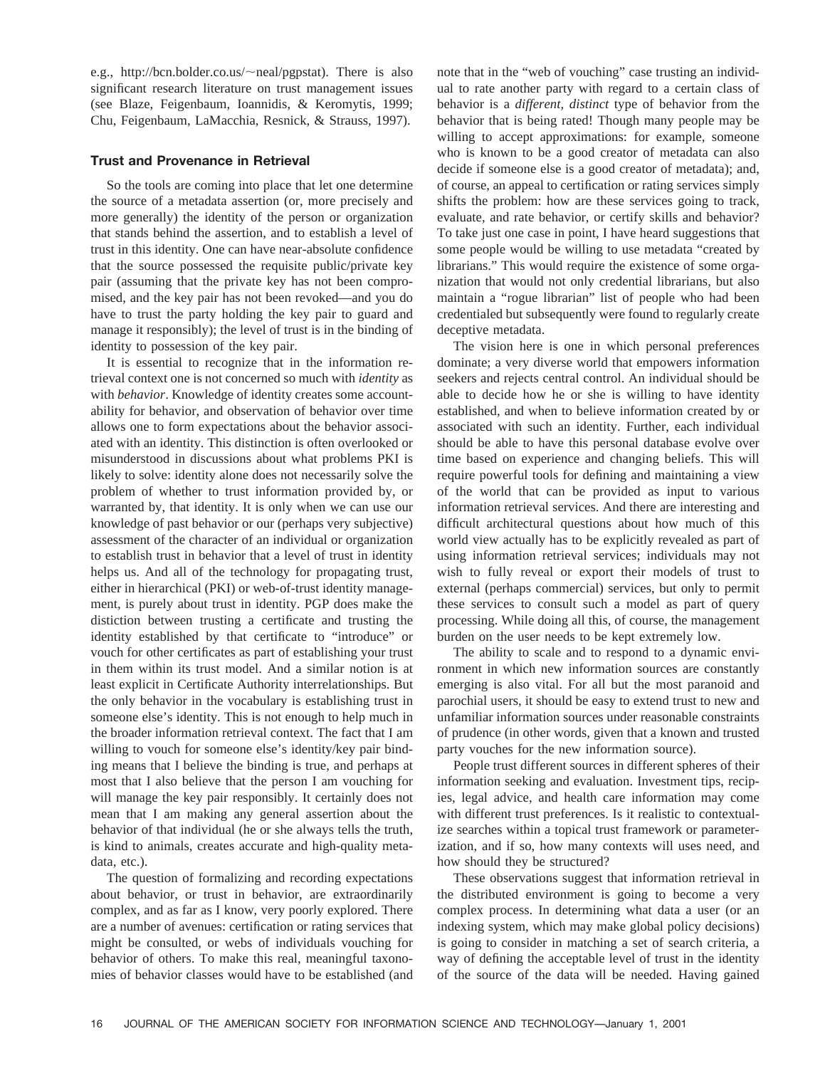e.g., http://bcn.bolder.co.us/~neal/pgpstat). There is also significant research literature on trust management issues (see Blaze, Feigenbaum, Ioannidis, & Keromytis, 1999; Chu, Feigenbaum, LaMacchia, Resnick, & Strauss, 1997).

## **Trust and Provenance in Retrieval**

So the tools are coming into place that let one determine the source of a metadata assertion (or, more precisely and more generally) the identity of the person or organization that stands behind the assertion, and to establish a level of trust in this identity. One can have near-absolute confidence that the source possessed the requisite public/private key pair (assuming that the private key has not been compromised, and the key pair has not been revoked—and you do have to trust the party holding the key pair to guard and manage it responsibly); the level of trust is in the binding of identity to possession of the key pair.

It is essential to recognize that in the information retrieval context one is not concerned so much with *identity* as with *behavior*. Knowledge of identity creates some accountability for behavior, and observation of behavior over time allows one to form expectations about the behavior associated with an identity. This distinction is often overlooked or misunderstood in discussions about what problems PKI is likely to solve: identity alone does not necessarily solve the problem of whether to trust information provided by, or warranted by, that identity. It is only when we can use our knowledge of past behavior or our (perhaps very subjective) assessment of the character of an individual or organization to establish trust in behavior that a level of trust in identity helps us. And all of the technology for propagating trust, either in hierarchical (PKI) or web-of-trust identity management, is purely about trust in identity. PGP does make the distiction between trusting a certificate and trusting the identity established by that certificate to "introduce" or vouch for other certificates as part of establishing your trust in them within its trust model. And a similar notion is at least explicit in Certificate Authority interrelationships. But the only behavior in the vocabulary is establishing trust in someone else's identity. This is not enough to help much in the broader information retrieval context. The fact that I am willing to vouch for someone else's identity/key pair binding means that I believe the binding is true, and perhaps at most that I also believe that the person I am vouching for will manage the key pair responsibly. It certainly does not mean that I am making any general assertion about the behavior of that individual (he or she always tells the truth, is kind to animals, creates accurate and high-quality metadata, etc.).

The question of formalizing and recording expectations about behavior, or trust in behavior, are extraordinarily complex, and as far as I know, very poorly explored. There are a number of avenues: certification or rating services that might be consulted, or webs of individuals vouching for behavior of others. To make this real, meaningful taxonomies of behavior classes would have to be established (and

note that in the "web of vouching" case trusting an individual to rate another party with regard to a certain class of behavior is a *different, distinct* type of behavior from the behavior that is being rated! Though many people may be willing to accept approximations: for example, someone who is known to be a good creator of metadata can also decide if someone else is a good creator of metadata); and, of course, an appeal to certification or rating services simply shifts the problem: how are these services going to track, evaluate, and rate behavior, or certify skills and behavior? To take just one case in point, I have heard suggestions that some people would be willing to use metadata "created by librarians." This would require the existence of some organization that would not only credential librarians, but also maintain a "rogue librarian" list of people who had been credentialed but subsequently were found to regularly create deceptive metadata.

The vision here is one in which personal preferences dominate; a very diverse world that empowers information seekers and rejects central control. An individual should be able to decide how he or she is willing to have identity established, and when to believe information created by or associated with such an identity. Further, each individual should be able to have this personal database evolve over time based on experience and changing beliefs. This will require powerful tools for defining and maintaining a view of the world that can be provided as input to various information retrieval services. And there are interesting and difficult architectural questions about how much of this world view actually has to be explicitly revealed as part of using information retrieval services; individuals may not wish to fully reveal or export their models of trust to external (perhaps commercial) services, but only to permit these services to consult such a model as part of query processing. While doing all this, of course, the management burden on the user needs to be kept extremely low.

The ability to scale and to respond to a dynamic environment in which new information sources are constantly emerging is also vital. For all but the most paranoid and parochial users, it should be easy to extend trust to new and unfamiliar information sources under reasonable constraints of prudence (in other words, given that a known and trusted party vouches for the new information source).

People trust different sources in different spheres of their information seeking and evaluation. Investment tips, recipies, legal advice, and health care information may come with different trust preferences. Is it realistic to contextualize searches within a topical trust framework or parameterization, and if so, how many contexts will uses need, and how should they be structured?

These observations suggest that information retrieval in the distributed environment is going to become a very complex process. In determining what data a user (or an indexing system, which may make global policy decisions) is going to consider in matching a set of search criteria, a way of defining the acceptable level of trust in the identity of the source of the data will be needed. Having gained